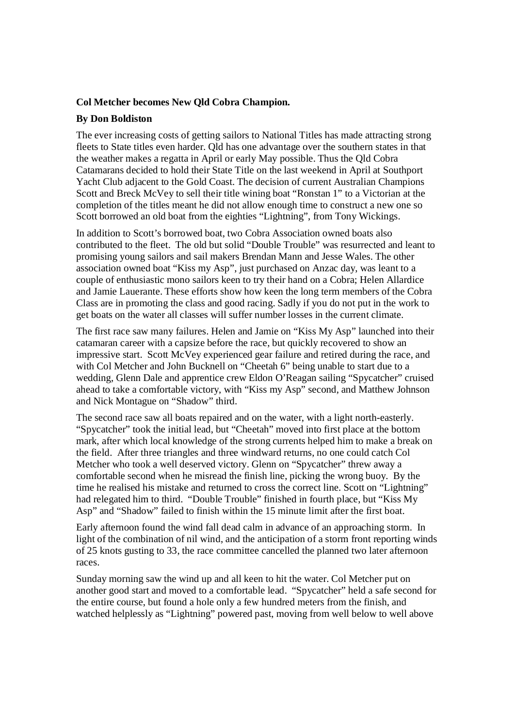## **Col Metcher becomes New Qld Cobra Champion.**

## **By Don Boldiston**

The ever increasing costs of getting sailors to National Titles has made attracting strong fleets to State titles even harder. Qld has one advantage over the southern states in that the weather makes a regatta in April or early May possible. Thus the Qld Cobra Catamarans decided to hold their State Title on the last weekend in April at Southport Yacht Club adjacent to the Gold Coast. The decision of current Australian Champions Scott and Breck McVey to sell their title wining boat "Ronstan 1" to a Victorian at the completion of the titles meant he did not allow enough time to construct a new one so Scott borrowed an old boat from the eighties "Lightning", from Tony Wickings.

In addition to Scott's borrowed boat, two Cobra Association owned boats also contributed to the fleet. The old but solid "Double Trouble" was resurrected and leant to promising young sailors and sail makers Brendan Mann and Jesse Wales. The other association owned boat "Kiss my Asp", just purchased on Anzac day, was leant to a couple of enthusiastic mono sailors keen to try their hand on a Cobra; Helen Allardice and Jamie Lauerante. These efforts show how keen the long term members of the Cobra Class are in promoting the class and good racing. Sadly if you do not put in the work to get boats on the water all classes will suffer number losses in the current climate.

The first race saw many failures. Helen and Jamie on "Kiss My Asp" launched into their catamaran career with a capsize before the race, but quickly recovered to show an impressive start. Scott McVey experienced gear failure and retired during the race, and with Col Metcher and John Bucknell on "Cheetah 6" being unable to start due to a wedding, Glenn Dale and apprentice crew Eldon O'Reagan sailing "Spycatcher" cruised ahead to take a comfortable victory, with "Kiss my Asp" second, and Matthew Johnson and Nick Montague on "Shadow" third.

The second race saw all boats repaired and on the water, with a light north-easterly. "Spycatcher" took the initial lead, but "Cheetah" moved into first place at the bottom mark, after which local knowledge of the strong currents helped him to make a break on the field. After three triangles and three windward returns, no one could catch Col Metcher who took a well deserved victory. Glenn on "Spycatcher" threw away a comfortable second when he misread the finish line, picking the wrong buoy. By the time he realised his mistake and returned to cross the correct line. Scott on "Lightning" had relegated him to third. "Double Trouble" finished in fourth place, but "Kiss My Asp" and "Shadow" failed to finish within the 15 minute limit after the first boat.

Early afternoon found the wind fall dead calm in advance of an approaching storm. In light of the combination of nil wind, and the anticipation of a storm front reporting winds of 25 knots gusting to 33, the race committee cancelled the planned two later afternoon races.

Sunday morning saw the wind up and all keen to hit the water. Col Metcher put on another good start and moved to a comfortable lead. "Spycatcher" held a safe second for the entire course, but found a hole only a few hundred meters from the finish, and watched helplessly as "Lightning" powered past, moving from well below to well above